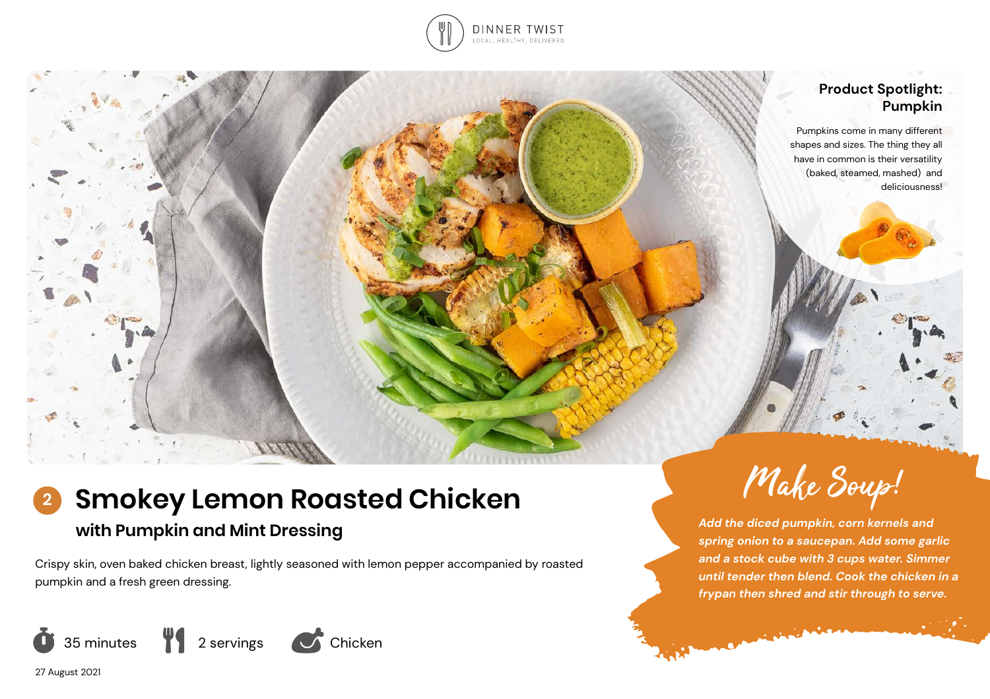

# **Product Spotlight: Pumpkin**

Pumpkins come in many different shapes and sizes. The thing they all have in common is their versatility (baked, steamed, mashed) and deliciousness!

# **Smokey Lemon Roasted Chicken with Pumpkin and Mint Dressing 2**

Crispy skin, oven baked chicken breast, lightly seasoned with lemon pepper accompanied by roasted pumpkin and a fresh green dressing.





*Add the diced pumpkin, corn kernels and spring onion to a saucepan. Add some garlic and a stock cube with 3 cups water. Simmer until tender then blend. Cook the chicken in a frypan then shred and stir through to serve.*

**COMMERCIAL** 

27 August 2021